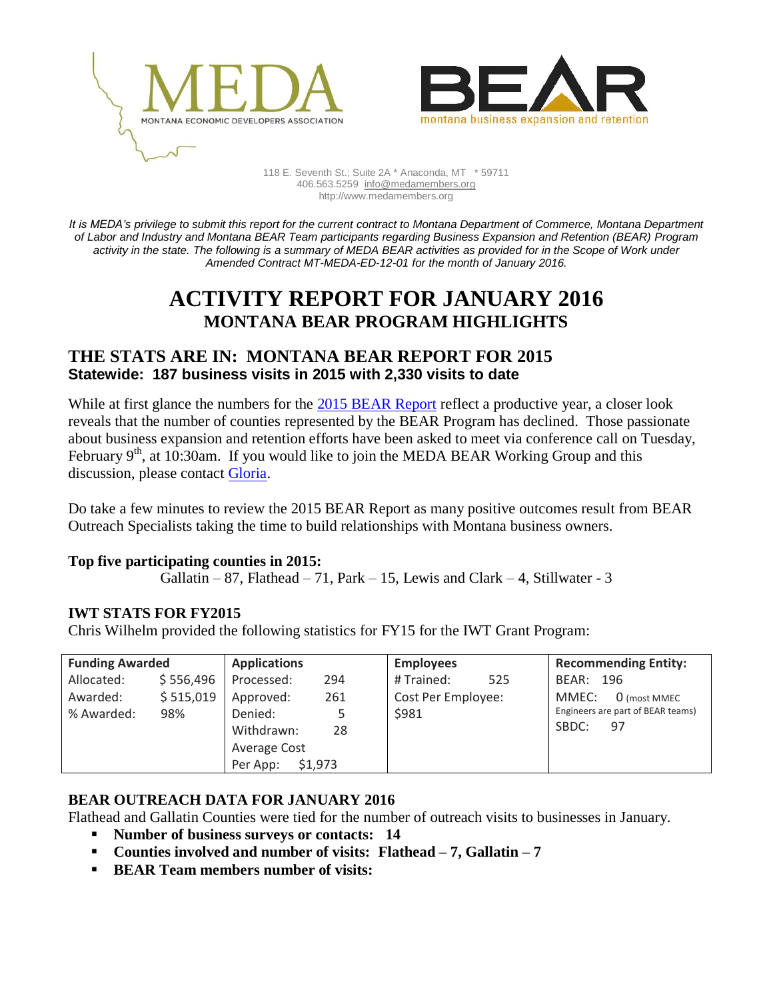



118 E. Seventh St.; Suite 2A \* Anaconda, MT \* 59711 406.563.5259 [info@medamembers.org](mailto:info@medamembers.org) http://www.medamembers.org

*It is MEDA's privilege to submit this report for the current contract to Montana Department of Commerce, Montana Department of Labor and Industry and Montana BEAR Team participants regarding Business Expansion and Retention (BEAR) Program activity in the state. The following is a summary of MEDA BEAR activities as provided for in the Scope of Work under Amended Contract MT-MEDA-ED-12-01 for the month of January 2016.*

# **ACTIVITY REPORT FOR JANUARY 2016 MONTANA BEAR PROGRAM HIGHLIGHTS**

### **THE STATS ARE IN: MONTANA BEAR REPORT FOR 2015 Statewide: 187 business visits in 2015 with 2,330 visits to date**

While at first glance the numbers for the [2015 BEAR Report](http://www.medamembers.org/meda/working-groups/bear/bear-reports/?item=7897) reflect a productive year, a closer look reveals that the number of counties represented by the BEAR Program has declined. Those passionate about business expansion and retention efforts have been asked to meet via conference call on Tuesday, February  $9<sup>th</sup>$ , at 10:30am. If you would like to join the MEDA BEAR Working Group and this discussion, please contact [Gloria.](mailto:gloria@medamembers.org)

Do take a few minutes to review the 2015 BEAR Report as many positive outcomes result from BEAR Outreach Specialists taking the time to build relationships with Montana business owners.

#### **Top five participating counties in 2015:**

Gallatin – 87, Flathead – 71, Park – 15, Lewis and Clark – 4, Stillwater - 3

#### **IWT STATS FOR FY2015**

Chris Wilhelm provided the following statistics for FY15 for the IWT Grant Program:

| <b>Funding Awarded</b> |           | <b>Applications</b> |     | <b>Employees</b>   | <b>Recommending Entity:</b>                      |
|------------------------|-----------|---------------------|-----|--------------------|--------------------------------------------------|
| Allocated:             | \$556,496 | Processed:          | 294 | # Trained:<br>525  | BEAR:<br>- 196                                   |
| Awarded:               | \$515,019 | Approved:           | 261 | Cost Per Employee: | MMEC:<br>0 (most MMEC                            |
| % Awarded:             | 98%       | Denied:             |     | \$981              | Engineers are part of BEAR teams)<br>SBDC:<br>97 |
|                        |           | Withdrawn:          | 28  |                    |                                                  |
|                        |           | Average Cost        |     |                    |                                                  |
|                        |           | \$1,973<br>Per App: |     |                    |                                                  |

#### **BEAR OUTREACH DATA FOR JANUARY 2016**

Flathead and Gallatin Counties were tied for the number of outreach visits to businesses in January.

- **Number of business surveys or contacts: 14**
- **Counties involved and number of visits: Flathead – 7, Gallatin – 7**
- **BEAR Team members number of visits:**